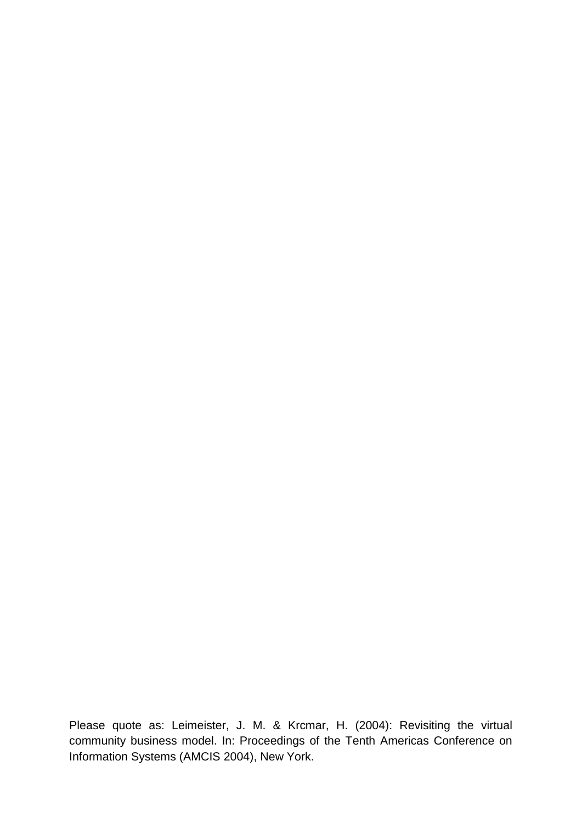Please quote as: Leimeister, J. M. & Krcmar, H. (2004): Revisiting the virtual community business model. In: Proceedings of the Tenth Americas Conference on Information Systems (AMCIS 2004), New York.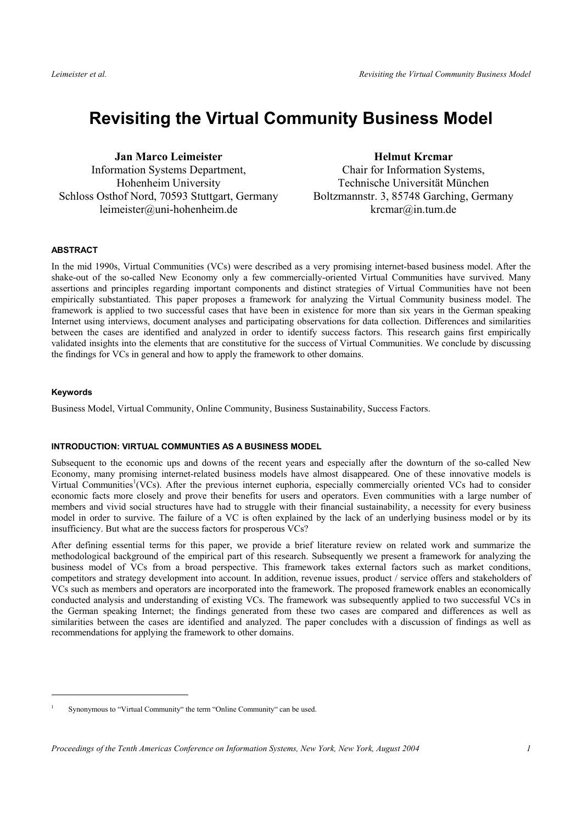# **Revisiting the Virtual Community Business Model**

**Jan Marco Leimeister**  Information Systems Department, Hohenheim University Schloss Osthof Nord, 70593 Stuttgart, Germany leimeister@uni-hohenheim.de

### **Helmut Krcmar**

Chair for Information Systems, Technische Universität München Boltzmannstr. 3, 85748 Garching, Germany krcmar@in.tum.de

### **ABSTRACT**

In the mid 1990s, Virtual Communities (VCs) were described as a very promising internet-based business model. After the shake-out of the so-called New Economy only a few commercially-oriented Virtual Communities have survived. Many assertions and principles regarding important components and distinct strategies of Virtual Communities have not been empirically substantiated. This paper proposes a framework for analyzing the Virtual Community business model. The framework is applied to two successful cases that have been in existence for more than six years in the German speaking Internet using interviews, document analyses and participating observations for data collection. Differences and similarities between the cases are identified and analyzed in order to identify success factors. This research gains first empirically validated insights into the elements that are constitutive for the success of Virtual Communities. We conclude by discussing the findings for VCs in general and how to apply the framework to other domains.

#### **Keywords**

 $\overline{a}$ 

Business Model, Virtual Community, Online Community, Business Sustainability, Success Factors.

#### **INTRODUCTION: VIRTUAL COMMUNTIES AS A BUSINESS MODEL**

Subsequent to the economic ups and downs of the recent years and especially after the downturn of the so-called New Economy, many promising internet-related business models have almost disappeared. One of these innovative models is Virtual Communities<sup>1</sup>(VCs). After the previous internet euphoria, especially commercially oriented VCs had to consider economic facts more closely and prove their benefits for users and operators. Even communities with a large number of members and vivid social structures have had to struggle with their financial sustainability, a necessity for every business model in order to survive. The failure of a VC is often explained by the lack of an underlying business model or by its insufficiency. But what are the success factors for prosperous VCs?

After defining essential terms for this paper, we provide a brief literature review on related work and summarize the methodological background of the empirical part of this research. Subsequently we present a framework for analyzing the business model of VCs from a broad perspective. This framework takes external factors such as market conditions, competitors and strategy development into account. In addition, revenue issues, product / service offers and stakeholders of VCs such as members and operators are incorporated into the framework. The proposed framework enables an economically conducted analysis and understanding of existing VCs. The framework was subsequently applied to two successful VCs in the German speaking Internet; the findings generated from these two cases are compared and differences as well as similarities between the cases are identified and analyzed. The paper concludes with a discussion of findings as well as recommendations for applying the framework to other domains.

<sup>1</sup> Synonymous to "Virtual Community" the term "Online Community" can be used.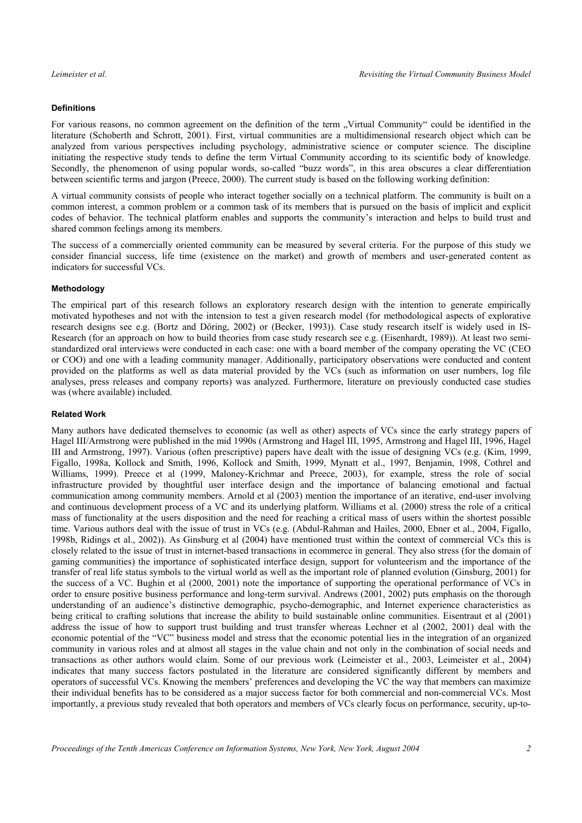#### **Definitions**

For various reasons, no common agreement on the definition of the term "Virtual Community" could be identified in the literature (Schoberth and Schrott, 2001). First, virtual communities are a multidimensional research object which can be analyzed from various perspectives including psychology, administrative science or computer science. The discipline initiating the respective study tends to define the term Virtual Community according to its scientific body of knowledge. Secondly, the phenomenon of using popular words, so-called "buzz words", in this area obscures a clear differentiation between scientific terms and jargon (Preece, 2000). The current study is based on the following working definition:

A virtual community consists of people who interact together socially on a technical platform. The community is built on a common interest, a common problem or a common task of its members that is pursued on the basis of implicit and explicit codes of behavior. The technical platform enables and supports the community's interaction and helps to build trust and shared common feelings among its members.

The success of a commercially oriented community can be measured by several criteria. For the purpose of this study we consider financial success, life time (existence on the market) and growth of members and user-generated content as indicators for successful VCs.

#### **Methodology**

The empirical part of this research follows an exploratory research design with the intention to generate empirically motivated hypotheses and not with the intension to test a given research model (for methodological aspects of explorative research designs see e.g. (Bortz and Döring, 2002) or (Becker, 1993)). Case study research itself is widely used in IS-Research (for an approach on how to build theories from case study research see e.g. (Eisenhardt, 1989)). At least two semistandardized oral interviews were conducted in each case: one with a board member of the company operating the VC (CEO or COO) and one with a leading community manager. Additionally, participatory observations were conducted and content provided on the platforms as well as data material provided by the VCs (such as information on user numbers, log file analyses, press releases and company reports) was analyzed. Furthermore, literature on previously conducted case studies was (where available) included.

#### **Related Work**

Many authors have dedicated themselves to economic (as well as other) aspects of VCs since the early strategy papers of Hagel III/Armstrong were published in the mid 1990s (Armstrong and Hagel III, 1995, Armstrong and Hagel III, 1996, Hagel III and Armstrong, 1997). Various (often prescriptive) papers have dealt with the issue of designing VCs (e.g. (Kim, 1999, Figallo, 1998a, Kollock and Smith, 1996, Kollock and Smith, 1999, Mynatt et al., 1997, Benjamin, 1998, Cothrel and Williams, 1999). Preece et al (1999, Maloney-Krichmar and Preece, 2003), for example, stress the role of social infrastructure provided by thoughtful user interface design and the importance of balancing emotional and factual communication among community members. Arnold et al (2003) mention the importance of an iterative, end-user involving and continuous development process of a VC and its underlying platform. Williams et al. (2000) stress the role of a critical mass of functionality at the users disposition and the need for reaching a critical mass of users within the shortest possible time. Various authors deal with the issue of trust in VCs (e.g. (Abdul-Rahman and Hailes, 2000, Ebner et al., 2004, Figallo, 1998b, Ridings et al., 2002)). As Ginsburg et al (2004) have mentioned trust within the context of commercial VCs this is closely related to the issue of trust in internet-based transactions in ecommerce in general. They also stress (for the domain of gaming communities) the importance of sophisticated interface design, support for volunteerism and the importance of the transfer of real life status symbols to the virtual world as well as the important role of planned evolution (Ginsburg, 2001) for the success of a VC. Bughin et al (2000, 2001) note the importance of supporting the operational performance of VCs in order to ensure positive business performance and long-term survival. Andrews (2001, 2002) puts emphasis on the thorough understanding of an audience's distinctive demographic, psycho-demographic, and Internet experience characteristics as being critical to crafting solutions that increase the ability to build sustainable online communities. Eisentraut et al (2001) address the issue of how to support trust building and trust transfer whereas Lechner et al (2002, 2001) deal with the economic potential of the "VC" business model and stress that the economic potential lies in the integration of an organized community in various roles and at almost all stages in the value chain and not only in the combination of social needs and transactions as other authors would claim. Some of our previous work (Leimeister et al., 2003, Leimeister et al., 2004) indicates that many success factors postulated in the literature are considered significantly different by members and operators of successful VCs. Knowing the members' preferences and developing the VC the way that members can maximize their individual benefits has to be considered as a major success factor for both commercial and non-commercial VCs. Most importantly, a previous study revealed that both operators and members of VCs clearly focus on performance, security, up-to-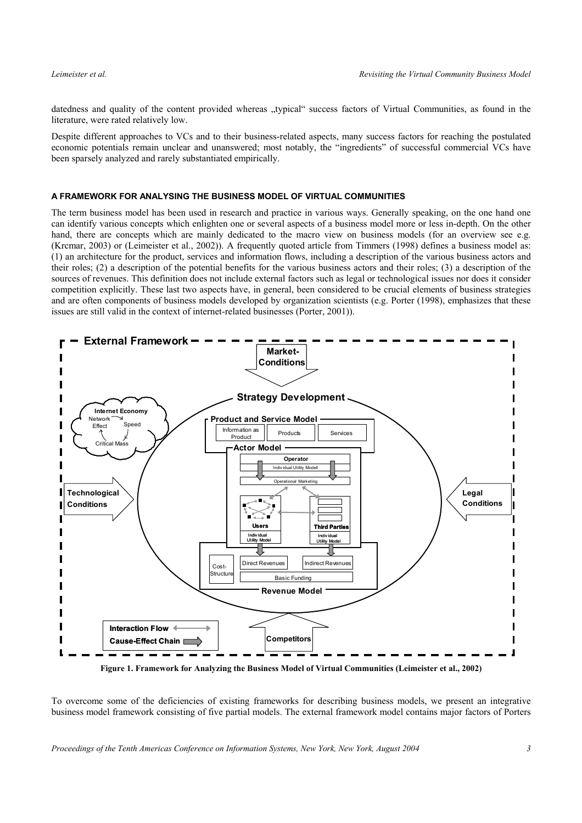datedness and quality of the content provided whereas "typical" success factors of Virtual Communities, as found in the literature, were rated relatively low.

Despite different approaches to VCs and to their business-related aspects, many success factors for reaching the postulated economic potentials remain unclear and unanswered; most notably, the "ingredients" of successful commercial VCs have been sparsely analyzed and rarely substantiated empirically.

#### **A FRAMEWORK FOR ANALYSING THE BUSINESS MODEL OF VIRTUAL COMMUNITIES**

The term business model has been used in research and practice in various ways. Generally speaking, on the one hand one can identify various concepts which enlighten one or several aspects of a business model more or less in-depth. On the other hand, there are concepts which are mainly dedicated to the macro view on business models (for an overview see e.g. (Krcmar, 2003) or (Leimeister et al., 2002)). A frequently quoted article from Timmers (1998) defines a business model as: (1) an architecture for the product, services and information flows, including a description of the various business actors and their roles; (2) a description of the potential benefits for the various business actors and their roles; (3) a description of the sources of revenues. This definition does not include external factors such as legal or technological issues nor does it consider competition explicitly. These last two aspects have, in general, been considered to be crucial elements of business strategies and are often components of business models developed by organization scientists (e.g. Porter (1998), emphasizes that these issues are still valid in the context of internet-related businesses (Porter, 2001)).



**Figure 1. Framework for Analyzing the Business Model of Virtual Communities (Leimeister et al., 2002)** 

To overcome some of the deficiencies of existing frameworks for describing business models, we present an integrative business model framework consisting of five partial models. The external framework model contains major factors of Porters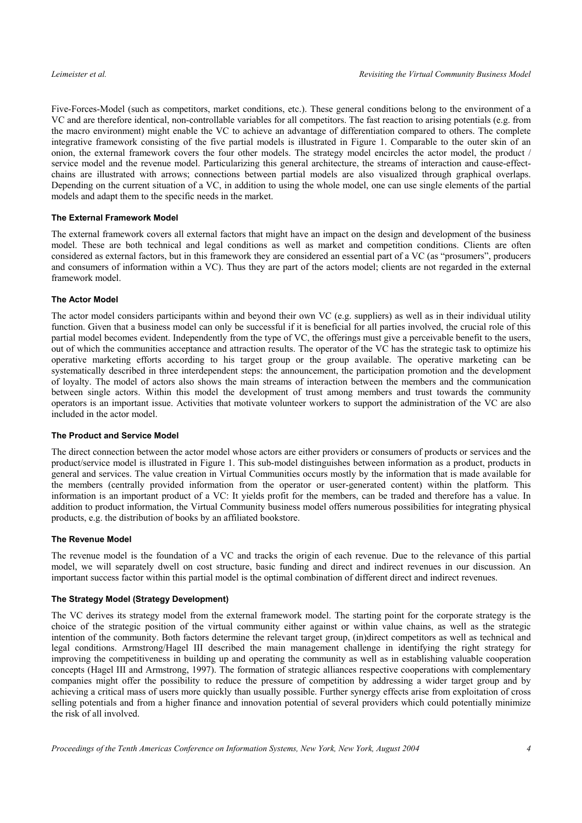Five-Forces-Model (such as competitors, market conditions, etc.). These general conditions belong to the environment of a VC and are therefore identical, non-controllable variables for all competitors. The fast reaction to arising potentials (e.g. from the macro environment) might enable the VC to achieve an advantage of differentiation compared to others. The complete integrative framework consisting of the five partial models is illustrated in Figure 1. Comparable to the outer skin of an onion, the external framework covers the four other models. The strategy model encircles the actor model, the product / service model and the revenue model. Particularizing this general architecture, the streams of interaction and cause-effectchains are illustrated with arrows; connections between partial models are also visualized through graphical overlaps. Depending on the current situation of a VC, in addition to using the whole model, one can use single elements of the partial models and adapt them to the specific needs in the market.

### **The External Framework Model**

The external framework covers all external factors that might have an impact on the design and development of the business model. These are both technical and legal conditions as well as market and competition conditions. Clients are often considered as external factors, but in this framework they are considered an essential part of a VC (as "prosumers", producers and consumers of information within a VC). Thus they are part of the actors model; clients are not regarded in the external framework model.

### **The Actor Model**

The actor model considers participants within and beyond their own VC (e.g. suppliers) as well as in their individual utility function. Given that a business model can only be successful if it is beneficial for all parties involved, the crucial role of this partial model becomes evident. Independently from the type of VC, the offerings must give a perceivable benefit to the users, out of which the communities acceptance and attraction results. The operator of the VC has the strategic task to optimize his operative marketing efforts according to his target group or the group available. The operative marketing can be systematically described in three interdependent steps: the announcement, the participation promotion and the development of loyalty. The model of actors also shows the main streams of interaction between the members and the communication between single actors. Within this model the development of trust among members and trust towards the community operators is an important issue. Activities that motivate volunteer workers to support the administration of the VC are also included in the actor model.

#### **The Product and Service Model**

The direct connection between the actor model whose actors are either providers or consumers of products or services and the product/service model is illustrated in Figure 1. This sub-model distinguishes between information as a product, products in general and services. The value creation in Virtual Communities occurs mostly by the information that is made available for the members (centrally provided information from the operator or user-generated content) within the platform. This information is an important product of a VC: It yields profit for the members, can be traded and therefore has a value. In addition to product information, the Virtual Community business model offers numerous possibilities for integrating physical products, e.g. the distribution of books by an affiliated bookstore.

#### **The Revenue Model**

The revenue model is the foundation of a VC and tracks the origin of each revenue. Due to the relevance of this partial model, we will separately dwell on cost structure, basic funding and direct and indirect revenues in our discussion. An important success factor within this partial model is the optimal combination of different direct and indirect revenues.

#### **The Strategy Model (Strategy Development)**

The VC derives its strategy model from the external framework model. The starting point for the corporate strategy is the choice of the strategic position of the virtual community either against or within value chains, as well as the strategic intention of the community. Both factors determine the relevant target group, (in)direct competitors as well as technical and legal conditions. Armstrong/Hagel III described the main management challenge in identifying the right strategy for improving the competitiveness in building up and operating the community as well as in establishing valuable cooperation concepts (Hagel III and Armstrong, 1997). The formation of strategic alliances respective cooperations with complementary companies might offer the possibility to reduce the pressure of competition by addressing a wider target group and by achieving a critical mass of users more quickly than usually possible. Further synergy effects arise from exploitation of cross selling potentials and from a higher finance and innovation potential of several providers which could potentially minimize the risk of all involved.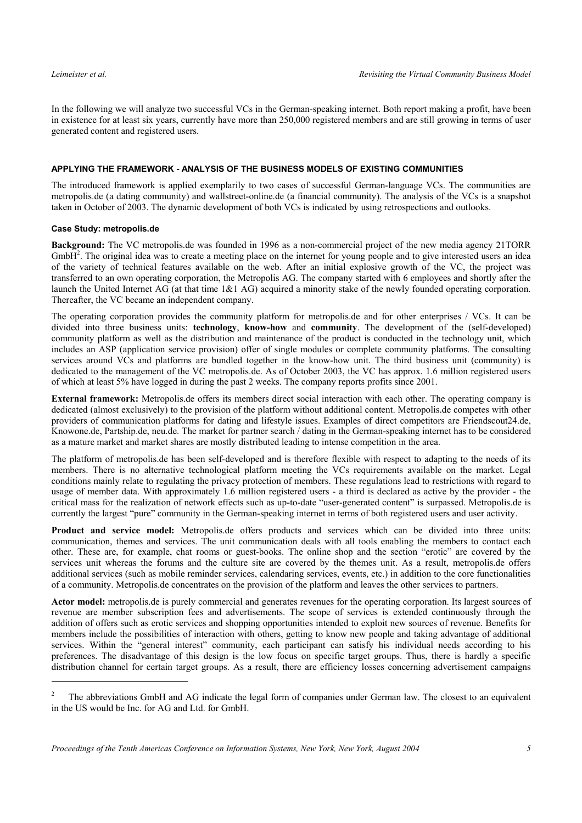In the following we will analyze two successful VCs in the German-speaking internet. Both report making a profit, have been in existence for at least six years, currently have more than 250,000 registered members and are still growing in terms of user generated content and registered users.

### **APPLYING THE FRAMEWORK - ANALYSIS OF THE BUSINESS MODELS OF EXISTING COMMUNITIES**

The introduced framework is applied exemplarily to two cases of successful German-language VCs. The communities are metropolis.de (a dating community) and wallstreet-online.de (a financial community). The analysis of the VCs is a snapshot taken in October of 2003. The dynamic development of both VCs is indicated by using retrospections and outlooks.

### **Case Study: metropolis.de**

 $\overline{a}$ 

**Background:** The VC metropolis.de was founded in 1996 as a non-commercial project of the new media agency 21TORR  $GmbH<sup>2</sup>$ . The original idea was to create a meeting place on the internet for young people and to give interested users an idea of the variety of technical features available on the web. After an initial explosive growth of the VC, the project was transferred to an own operating corporation, the Metropolis AG. The company started with 6 employees and shortly after the launch the United Internet AG (at that time 1&1 AG) acquired a minority stake of the newly founded operating corporation. Thereafter, the VC became an independent company.

The operating corporation provides the community platform for metropolis.de and for other enterprises / VCs. It can be divided into three business units: **technology**, **know-how** and **community**. The development of the (self-developed) community platform as well as the distribution and maintenance of the product is conducted in the technology unit, which includes an ASP (application service provision) offer of single modules or complete community platforms. The consulting services around VCs and platforms are bundled together in the know-how unit. The third business unit (community) is dedicated to the management of the VC metropolis.de. As of October 2003, the VC has approx. 1.6 million registered users of which at least 5% have logged in during the past 2 weeks. The company reports profits since 2001.

**External framework:** Metropolis.de offers its members direct social interaction with each other. The operating company is dedicated (almost exclusively) to the provision of the platform without additional content. Metropolis.de competes with other providers of communication platforms for dating and lifestyle issues. Examples of direct competitors are Friendscout24.de, Knowone.de, Partship.de, neu.de. The market for partner search / dating in the German-speaking internet has to be considered as a mature market and market shares are mostly distributed leading to intense competition in the area.

The platform of metropolis.de has been self-developed and is therefore flexible with respect to adapting to the needs of its members. There is no alternative technological platform meeting the VCs requirements available on the market. Legal conditions mainly relate to regulating the privacy protection of members. These regulations lead to restrictions with regard to usage of member data. With approximately 1.6 million registered users - a third is declared as active by the provider - the critical mass for the realization of network effects such as up-to-date "user-generated content" is surpassed. Metropolis.de is currently the largest "pure" community in the German-speaking internet in terms of both registered users and user activity.

**Product and service model:** Metropolis.de offers products and services which can be divided into three units: communication, themes and services. The unit communication deals with all tools enabling the members to contact each other. These are, for example, chat rooms or guest-books. The online shop and the section "erotic" are covered by the services unit whereas the forums and the culture site are covered by the themes unit. As a result, metropolis.de offers additional services (such as mobile reminder services, calendaring services, events, etc.) in addition to the core functionalities of a community. Metropolis.de concentrates on the provision of the platform and leaves the other services to partners.

Actor model: metropolis.de is purely commercial and generates revenues for the operating corporation. Its largest sources of revenue are member subscription fees and advertisements. The scope of services is extended continuously through the addition of offers such as erotic services and shopping opportunities intended to exploit new sources of revenue. Benefits for members include the possibilities of interaction with others, getting to know new people and taking advantage of additional services. Within the "general interest" community, each participant can satisfy his individual needs according to his preferences. The disadvantage of this design is the low focus on specific target groups. Thus, there is hardly a specific distribution channel for certain target groups. As a result, there are efficiency losses concerning advertisement campaigns

<sup>2</sup> The abbreviations GmbH and AG indicate the legal form of companies under German law. The closest to an equivalent in the US would be Inc. for AG and Ltd. for GmbH.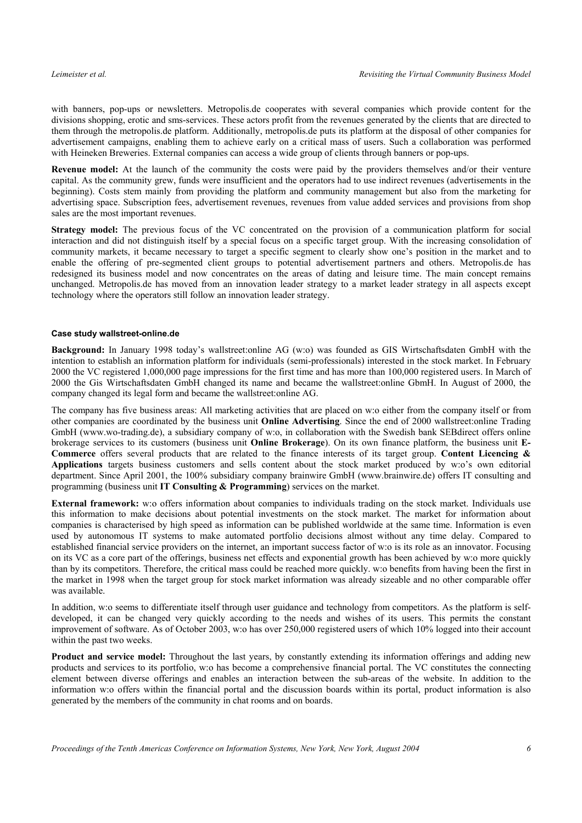with banners, pop-ups or newsletters. Metropolis.de cooperates with several companies which provide content for the divisions shopping, erotic and sms-services. These actors profit from the revenues generated by the clients that are directed to them through the metropolis.de platform. Additionally, metropolis.de puts its platform at the disposal of other companies for advertisement campaigns, enabling them to achieve early on a critical mass of users. Such a collaboration was performed with Heineken Breweries. External companies can access a wide group of clients through banners or pop-ups.

**Revenue model:** At the launch of the community the costs were paid by the providers themselves and/or their venture capital. As the community grew, funds were insufficient and the operators had to use indirect revenues (advertisements in the beginning). Costs stem mainly from providing the platform and community management but also from the marketing for advertising space. Subscription fees, advertisement revenues, revenues from value added services and provisions from shop sales are the most important revenues.

**Strategy model:** The previous focus of the VC concentrated on the provision of a communication platform for social interaction and did not distinguish itself by a special focus on a specific target group. With the increasing consolidation of community markets, it became necessary to target a specific segment to clearly show one's position in the market and to enable the offering of pre-segmented client groups to potential advertisement partners and others. Metropolis.de has redesigned its business model and now concentrates on the areas of dating and leisure time. The main concept remains unchanged. Metropolis.de has moved from an innovation leader strategy to a market leader strategy in all aspects except technology where the operators still follow an innovation leader strategy.

#### **Case study wallstreet-online.de**

**Background:** In January 1998 today's wallstreet:online AG (w:o) was founded as GIS Wirtschaftsdaten GmbH with the intention to establish an information platform for individuals (semi-professionals) interested in the stock market. In February 2000 the VC registered 1,000,000 page impressions for the first time and has more than 100,000 registered users. In March of 2000 the Gis Wirtschaftsdaten GmbH changed its name and became the wallstreet:online GbmH. In August of 2000, the company changed its legal form and became the wallstreet:online AG.

The company has five business areas: All marketing activities that are placed on w:o either from the company itself or from other companies are coordinated by the business unit **Online Advertising**. Since the end of 2000 wallstreet:online Trading GmbH (www.wo-trading.de), a subsidiary company of w:o, in collaboration with the Swedish bank SEBdirect offers online brokerage services to its customers (business unit **Online Brokerage**). On its own finance platform, the business unit **E-Commerce** offers several products that are related to the finance interests of its target group. **Content Licencing & Applications** targets business customers and sells content about the stock market produced by w:o's own editorial department. Since April 2001, the 100% subsidiary company brainwire GmbH (www.brainwire.de) offers IT consulting and programming (business unit **IT Consulting & Programming**) services on the market.

**External framework:** w:o offers information about companies to individuals trading on the stock market. Individuals use this information to make decisions about potential investments on the stock market. The market for information about companies is characterised by high speed as information can be published worldwide at the same time. Information is even used by autonomous IT systems to make automated portfolio decisions almost without any time delay. Compared to established financial service providers on the internet, an important success factor of w:o is its role as an innovator. Focusing on its VC as a core part of the offerings, business net effects and exponential growth has been achieved by w:o more quickly than by its competitors. Therefore, the critical mass could be reached more quickly. w:o benefits from having been the first in the market in 1998 when the target group for stock market information was already sizeable and no other comparable offer was available.

In addition, w:o seems to differentiate itself through user guidance and technology from competitors. As the platform is selfdeveloped, it can be changed very quickly according to the needs and wishes of its users. This permits the constant improvement of software. As of October 2003, w:o has over 250,000 registered users of which 10% logged into their account within the past two weeks.

**Product and service model:** Throughout the last years, by constantly extending its information offerings and adding new products and services to its portfolio, w:o has become a comprehensive financial portal. The VC constitutes the connecting element between diverse offerings and enables an interaction between the sub-areas of the website. In addition to the information w:o offers within the financial portal and the discussion boards within its portal, product information is also generated by the members of the community in chat rooms and on boards.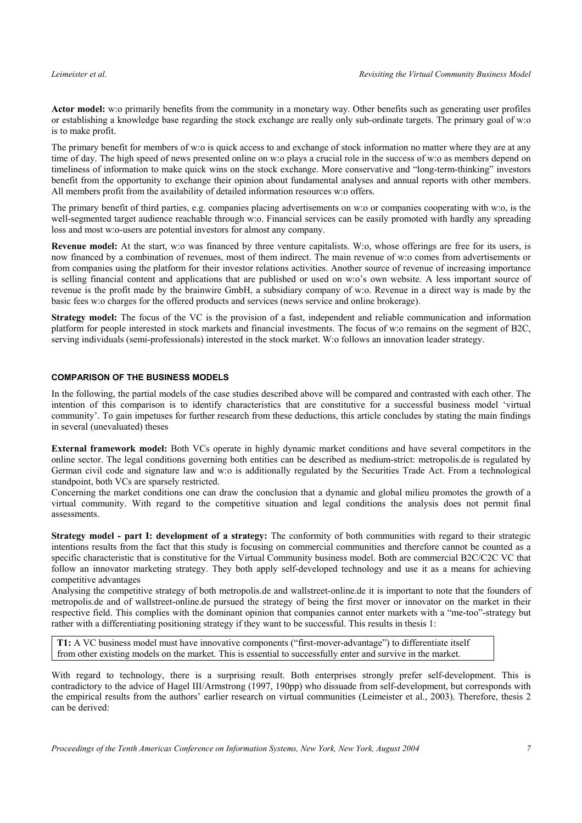**Actor model:** w:o primarily benefits from the community in a monetary way. Other benefits such as generating user profiles or establishing a knowledge base regarding the stock exchange are really only sub-ordinate targets. The primary goal of w:o is to make profit.

The primary benefit for members of w:o is quick access to and exchange of stock information no matter where they are at any time of day. The high speed of news presented online on w:o plays a crucial role in the success of w:o as members depend on timeliness of information to make quick wins on the stock exchange. More conservative and "long-term-thinking" investors benefit from the opportunity to exchange their opinion about fundamental analyses and annual reports with other members. All members profit from the availability of detailed information resources w:o offers.

The primary benefit of third parties, e.g. companies placing advertisements on w:o or companies cooperating with w:o, is the well-segmented target audience reachable through w:o. Financial services can be easily promoted with hardly any spreading loss and most w:o-users are potential investors for almost any company.

**Revenue model:** At the start, w:o was financed by three venture capitalists. W:o, whose offerings are free for its users, is now financed by a combination of revenues, most of them indirect. The main revenue of w:o comes from advertisements or from companies using the platform for their investor relations activities. Another source of revenue of increasing importance is selling financial content and applications that are published or used on w:o's own website. A less important source of revenue is the profit made by the brainwire GmbH, a subsidiary company of w:o. Revenue in a direct way is made by the basic fees w:o charges for the offered products and services (news service and online brokerage).

**Strategy model:** The focus of the VC is the provision of a fast, independent and reliable communication and information platform for people interested in stock markets and financial investments. The focus of w:o remains on the segment of B2C, serving individuals (semi-professionals) interested in the stock market. W:o follows an innovation leader strategy.

#### **COMPARISON OF THE BUSINESS MODELS**

In the following, the partial models of the case studies described above will be compared and contrasted with each other. The intention of this comparison is to identify characteristics that are constitutive for a successful business model 'virtual community'. To gain impetuses for further research from these deductions, this article concludes by stating the main findings in several (unevaluated) theses

**External framework model:** Both VCs operate in highly dynamic market conditions and have several competitors in the online sector. The legal conditions governing both entities can be described as medium-strict: metropolis.de is regulated by German civil code and signature law and w:o is additionally regulated by the Securities Trade Act. From a technological standpoint, both VCs are sparsely restricted.

Concerning the market conditions one can draw the conclusion that a dynamic and global milieu promotes the growth of a virtual community. With regard to the competitive situation and legal conditions the analysis does not permit final assessments.

**Strategy model - part I: development of a strategy:** The conformity of both communities with regard to their strategic intentions results from the fact that this study is focusing on commercial communities and therefore cannot be counted as a specific characteristic that is constitutive for the Virtual Community business model. Both are commercial B2C/C2C VC that follow an innovator marketing strategy. They both apply self-developed technology and use it as a means for achieving competitive advantages

Analysing the competitive strategy of both metropolis.de and wallstreet-online.de it is important to note that the founders of metropolis.de and of wallstreet-online.de pursued the strategy of being the first mover or innovator on the market in their respective field. This complies with the dominant opinion that companies cannot enter markets with a "me-too"-strategy but rather with a differentiating positioning strategy if they want to be successful. This results in thesis 1:

**T1:** A VC business model must have innovative components ("first-mover-advantage") to differentiate itself from other existing models on the market. This is essential to successfully enter and survive in the market.

With regard to technology, there is a surprising result. Both enterprises strongly prefer self-development. This is contradictory to the advice of Hagel III/Armstrong (1997, 190pp) who dissuade from self-development, but corresponds with the empirical results from the authors' earlier research on virtual communities (Leimeister et al., 2003). Therefore, thesis 2 can be derived: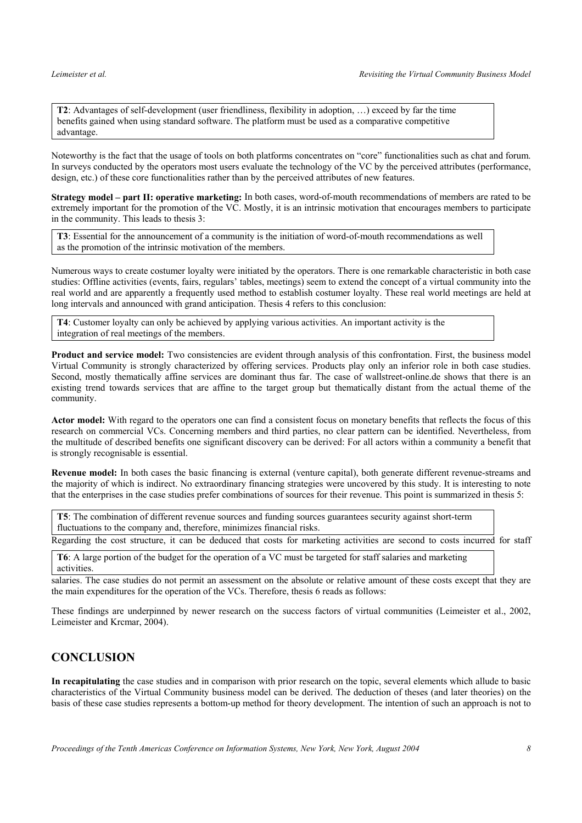**T2**: Advantages of self-development (user friendliness, flexibility in adoption, …) exceed by far the time benefits gained when using standard software. The platform must be used as a comparative competitive advantage.

Noteworthy is the fact that the usage of tools on both platforms concentrates on "core" functionalities such as chat and forum. In surveys conducted by the operators most users evaluate the technology of the VC by the perceived attributes (performance, design, etc.) of these core functionalities rather than by the perceived attributes of new features.

**Strategy model – part II: operative marketing:** In both cases, word-of-mouth recommendations of members are rated to be extremely important for the promotion of the VC. Mostly, it is an intrinsic motivation that encourages members to participate in the community. This leads to thesis 3:

**T3**: Essential for the announcement of a community is the initiation of word-of-mouth recommendations as well as the promotion of the intrinsic motivation of the members.

Numerous ways to create costumer loyalty were initiated by the operators. There is one remarkable characteristic in both case studies: Offline activities (events, fairs, regulars' tables, meetings) seem to extend the concept of a virtual community into the real world and are apparently a frequently used method to establish costumer loyalty. These real world meetings are held at long intervals and announced with grand anticipation. Thesis 4 refers to this conclusion:

**T4**: Customer loyalty can only be achieved by applying various activities. An important activity is the integration of real meetings of the members.

**Product and service model:** Two consistencies are evident through analysis of this confrontation. First, the business model Virtual Community is strongly characterized by offering services. Products play only an inferior role in both case studies. Second, mostly thematically affine services are dominant thus far. The case of wallstreet-online.de shows that there is an existing trend towards services that are affine to the target group but thematically distant from the actual theme of the community.

**Actor model:** With regard to the operators one can find a consistent focus on monetary benefits that reflects the focus of this research on commercial VCs. Concerning members and third parties, no clear pattern can be identified. Nevertheless, from the multitude of described benefits one significant discovery can be derived: For all actors within a community a benefit that is strongly recognisable is essential.

**Revenue model:** In both cases the basic financing is external (venture capital), both generate different revenue-streams and the majority of which is indirect. No extraordinary financing strategies were uncovered by this study. It is interesting to note that the enterprises in the case studies prefer combinations of sources for their revenue. This point is summarized in thesis 5:

**T5**: The combination of different revenue sources and funding sources guarantees security against short-term fluctuations to the company and, therefore, minimizes financial risks.

Regarding the cost structure, it can be deduced that costs for marketing activities are second to costs incurred for staff

**T6**: A large portion of the budget for the operation of a VC must be targeted for staff salaries and marketing activities.

salaries. The case studies do not permit an assessment on the absolute or relative amount of these costs except that they are the main expenditures for the operation of the VCs. Therefore, thesis 6 reads as follows:

These findings are underpinned by newer research on the success factors of virtual communities (Leimeister et al., 2002, Leimeister and Krcmar, 2004).

## **CONCLUSION**

**In recapitulating** the case studies and in comparison with prior research on the topic, several elements which allude to basic characteristics of the Virtual Community business model can be derived. The deduction of theses (and later theories) on the basis of these case studies represents a bottom-up method for theory development. The intention of such an approach is not to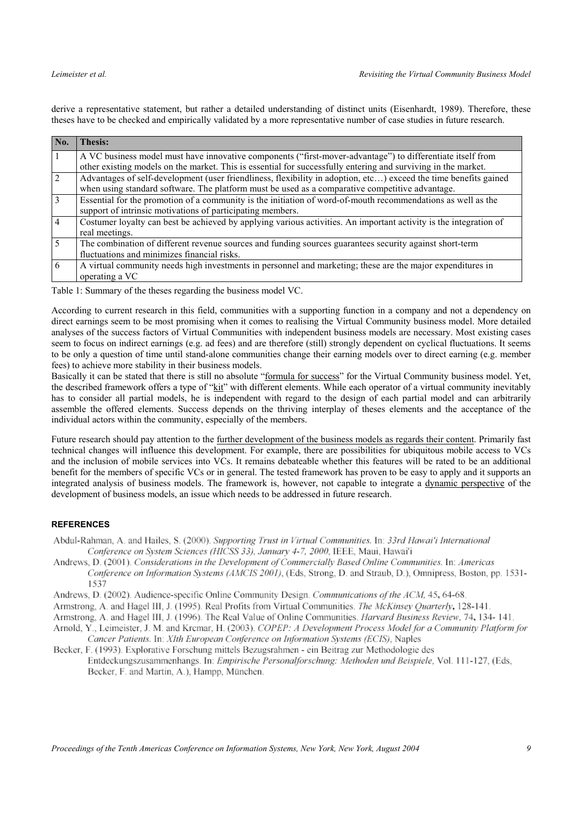derive a representative statement, but rather a detailed understanding of distinct units (Eisenhardt, 1989). Therefore, these theses have to be checked and empirically validated by a more representative number of case studies in future research.

| No.                      | <b>Thesis:</b>                                                                                                                                                                                                              |
|--------------------------|-----------------------------------------------------------------------------------------------------------------------------------------------------------------------------------------------------------------------------|
|                          | A VC business model must have innovative components ("first-mover-advantage") to differentiate itself from<br>other existing models on the market. This is essential for successfully entering and surviving in the market. |
| $\overline{2}$           | Advantages of self-development (user friendliness, flexibility in adoption, etc) exceed the time benefits gained                                                                                                            |
|                          | when using standard software. The platform must be used as a comparative competitive advantage.                                                                                                                             |
| $\overline{3}$           | Essential for the promotion of a community is the initiation of word-of-mouth recommendations as well as the                                                                                                                |
|                          | support of intrinsic motivations of participating members.                                                                                                                                                                  |
| $\overline{4}$           | Costumer loyalty can best be achieved by applying various activities. An important activity is the integration of                                                                                                           |
|                          | real meetings.                                                                                                                                                                                                              |
| $\overline{\mathcal{L}}$ | The combination of different revenue sources and funding sources guarantees security against short-term                                                                                                                     |
|                          | fluctuations and minimizes financial risks.                                                                                                                                                                                 |
| 6                        | A virtual community needs high investments in personnel and marketing; these are the major expenditures in                                                                                                                  |
|                          | operating a VC                                                                                                                                                                                                              |

Table 1: Summary of the theses regarding the business model VC.

According to current research in this field, communities with a supporting function in a company and not a dependency on direct earnings seem to be most promising when it comes to realising the Virtual Community business model. More detailed analyses of the success factors of Virtual Communities with independent business models are necessary. Most existing cases seem to focus on indirect earnings (e.g. ad fees) and are therefore (still) strongly dependent on cyclical fluctuations. It seems to be only a question of time until stand-alone communities change their earning models over to direct earning (e.g. member fees) to achieve more stability in their business models.

Basically it can be stated that there is still no absolute "formula for success" for the Virtual Community business model. Yet, the described framework offers a type of "kit" with different elements. While each operator of a virtual community inevitably has to consider all partial models, he is independent with regard to the design of each partial model and can arbitrarily assemble the offered elements. Success depends on the thriving interplay of theses elements and the acceptance of the individual actors within the community, especially of the members.

Future research should pay attention to the further development of the business models as regards their content. Primarily fast technical changes will influence this development. For example, there are possibilities for ubiquitous mobile access to VCs and the inclusion of mobile services into VCs. It remains debateable whether this features will be rated to be an additional benefit for the members of specific VCs or in general. The tested framework has proven to be easy to apply and it supports an integrated analysis of business models. The framework is, however, not capable to integrate a dynamic perspective of the development of business models, an issue which needs to be addressed in future research.

### **REFERENCES**

Abdul-Rahman, A. and Hailes, S. (2000). Supporting Trust in Virtual Communities. In: 33rd Hawai'i International Conference on System Sciences (HICSS 33), January 4-7, 2000, IEEE, Maui, Hawai'i

Andrews, D. (2001). Considerations in the Development of Commercially Based Online Communities. In: Americas Conference on Information Systems (AMCIS 2001), (Eds. Strong, D. and Straub, D.), Omnipress, Boston, pp. 1531-1537

Andrews, D. (2002). Audience-specific Online Community Design. Communications of the ACM, 45, 64-68.

Armstrong, A. and Hagel III, J. (1995). Real Profits from Virtual Communities. *The McKinsey Ouarterly*, 128-141.

Armstrong, A. and Hagel III, J. (1996). The Real Value of Online Communities. Harvard Business Review, 74, 134-141.

Arnold, Y., Leimeister, J. M. and Krcmar, H. (2003). COPEP: A Development Process Model for a Community Platform for Cancer Patients. In: XIth European Conference on Information Systems (ECIS), Naples

Becker, F. (1993). Explorative Forschung mittels Bezugsrahmen - ein Beitrag zur Methodologie des Entdeckungszusammenhangs. In: Empirische Personalforschung: Methoden und Beispiele, Vol. 111-127, (Eds. Becker, F. and Martin, A.), Hampp, München.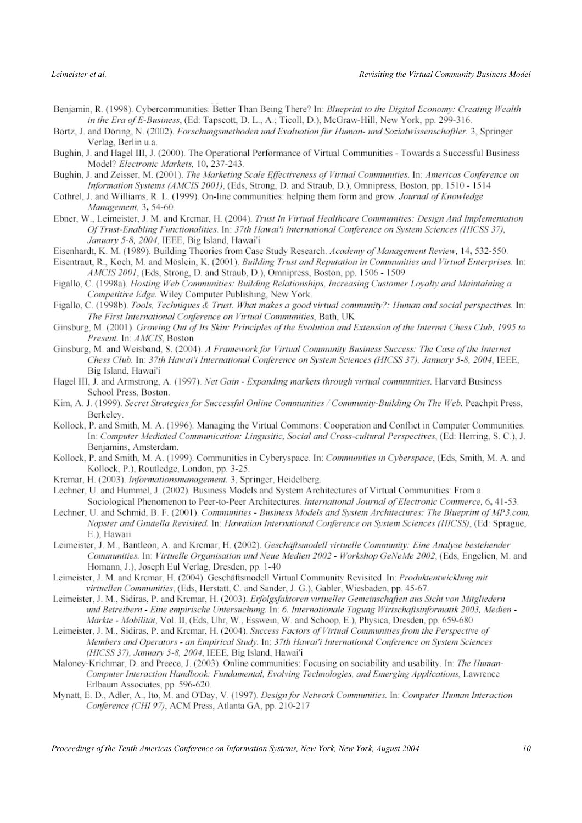- Benjamin, R. (1998). Cybercommunities: Better Than Being There? In: Blueprint to the Digital Economy: Creating Wealth in the Era of E-Business, (Ed: Tapscott, D. L., A.; Ticoll, D.), McGraw-Hill, New York, pp. 299-316.
- Bortz, J. and Döring, N. (2002). Forschungsmethoden und Evaluation für Human- und Sozialwissenschaftler. 3, Springer Verlag, Berlin u.a.
- Bughin, J. and Hagel III, J. (2000). The Operational Performance of Virtual Communities Towards a Successful Business Model? Electronic Markets, 10, 237-243.
- Bughin, J. and Zeisser, M. (2001). The Marketing Scale Effectiveness of Virtual Communities. In: Americas Conference on Information Systems (AMCIS 2001), (Eds, Strong, D. and Straub, D.), Omnipress, Boston, pp. 1510 - 1514
- Cothrel, J. and Williams, R. L. (1999). On-line communities: helping them form and grow. Journal of Knowledge Management, 3, 54-60.
- Ebner, W., Leimeister, J. M. and Krcmar, H. (2004). Trust In Virtual Healthcare Communities: Design And Implementation Of Trust-Enabling Functionalities. In: 37th Hawai'i International Conference on System Sciences (HICSS 37), January 5-8, 2004, IEEE, Big Island, Hawai'i
- Eisenhardt, K. M. (1989). Building Theories from Case Study Research. Academy of Management Review, 14, 532-550.
- Eisentraut, R., Koch, M. and Möslein, K. (2001). Building Trust and Reputation in Communities and Virtual Enterprises. In: AMCIS 2001, (Eds, Strong, D. and Straub, D.), Omnipress, Boston, pp. 1506 - 1509
- Figallo, C. (1998a). Hosting Web Communities: Building Relationships, Increasing Customer Loyalty and Maintaining a Competitive Edge. Wiley Computer Publishing, New York.
- Figallo, C. (1998b). Tools, Techniques & Trust. What makes a good virtual community?: Human and social perspectives. In: The First International Conference on Virtual Communities, Bath, UK
- Ginsburg, M. (2001). Growing Out of Its Skin: Principles of the Evolution and Extension of the Internet Chess Club, 1995 to Present. In: AMCIS. Boston
- Ginsburg, M. and Weisband, S. (2004). A Framework for Virtual Community Business Success: The Case of the Internet Chess Club. In: 37th Hawai'i International Conference on System Sciences (HICSS 37), January 5-8, 2004, IEEE, Big Island, Hawai'i
- Hagel III, J. and Armstrong, A. (1997). Net Gain Expanding markets through virtual communities. Harvard Business School Press, Boston.
- Kim, A. J. (1999). Secret Strategies for Successful Online Communities / Community-Building On The Web. Peachpit Press, Berkelev.
- Kollock, P. and Smith, M. A. (1996). Managing the Virtual Commons: Cooperation and Conflict in Computer Communities. In: Computer Mediated Communication: Lingusitic, Social and Cross-cultural Perspectives, (Ed: Herring, S. C.), J. Benjamins, Amsterdam.
- Kollock, P. and Smith, M. A. (1999). Communities in Cyberyspace. In: Communities in Cyberspace, (Eds. Smith, M. A. and Kollock, P.), Routledge, London, pp. 3-25.
- Krcmar, H. (2003). Informationsmanagement. 3, Springer, Heidelberg.
- Lechner, U. and Hummel, J. (2002). Business Models and System Architectures of Virtual Communities: From a Sociological Phenomenon to Peer-to-Peer Architectures. International Journal of Electronic Commerce, 6, 41-53.
- Lechner, U. and Schmid, B. F. (2001). Communities Business Models and System Architectures: The Blueprint of MP3.com, Napster and Gnutella Revisited. In: Hawaiian International Conference on System Sciences (HICSS), (Ed: Sprague, E.), Hawaii
- Leimeister, J. M., Bantleon, A. and Krcmar, H. (2002). Geschäftsmodell virtuelle Community: Eine Analyse bestehender Communities. In: Virtuelle Organisation und Neue Medien 2002 - Workshop GeNeMe 2002, (Eds, Engelien, M. and Homann, J.), Joseph Eul Verlag, Dresden, pp. 1-40
- Leimeister, J. M. and Krcmar, H. (2004). Geschäftsmodell Virtual Community Revisited. In: Produktentwicklung mit virtuellen Communities, (Eds, Herstatt, C. and Sander, J. G.), Gabler, Wiesbaden, pp. 45-67.
- Leimeister, J. M., Sidiras, P. and Krcmar, H. (2003). Erfolgsfaktoren virtueller Gemeinschaften aus Sicht von Mitgliedern und Betreibern - Eine empirische Untersuchung. In: 6. Internationale Tagung Wirtschaftsinformatik 2003, Medien -Märkte - Mobilität, Vol. II, (Eds. Uhr, W., Esswein, W. and Schoop, E.), Physica, Dresden, pp. 659-680
- Leimeister, J. M., Sidiras, P. and Krcmar, H. (2004). Success Factors of Virtual Communities from the Perspective of Members and Operators - an Empirical Study. In: 37th Hawai'i International Conference on System Sciences (HICSS 37), January 5-8, 2004, IEEE, Big Island, Hawai'i
- Maloney-Krichmar, D. and Preece, J. (2003). Online communities: Focusing on sociability and usability. In: The Human-Computer Interaction Handbook: Fundamental, Evolving Technologies, and Emerging Applications, Lawrence Erlbaum Associates, pp. 596-620.
- Mynatt, E. D., Adler, A., Ito, M. and O'Day, V. (1997). Design for Network Communities. In: Computer Human Interaction Conference (CHI 97), ACM Press, Atlanta GA, pp. 210-217